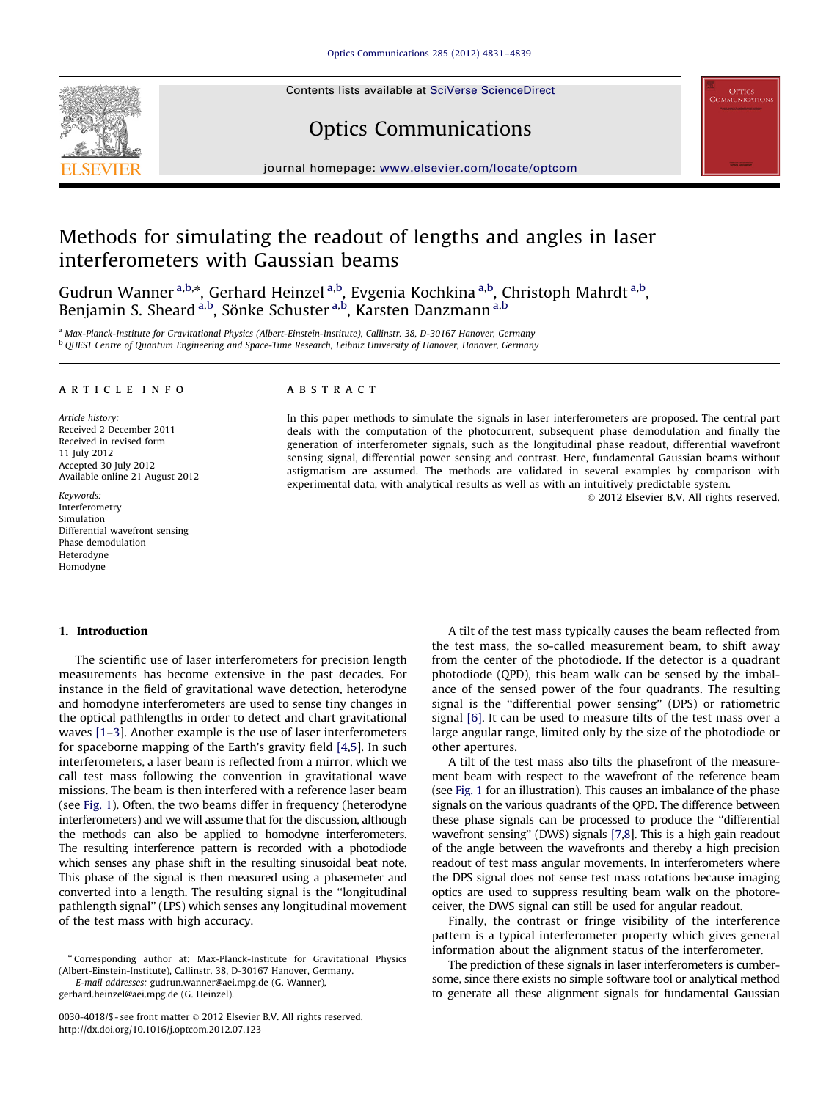Contents lists available at [SciVerse ScienceDirect](www.elsevier.com/locate/optcom)





# Optics Communications

journal homepage: <www.elsevier.com/locate/optcom>

# Methods for simulating the readout of lengths and angles in laser interferometers with Gaussian beams

Gudrun Wanner<sup>a,b,\*</sup>, Gerhard Heinzel<sup>a,b</sup>, Evgenia Kochkina<sup>a,b</sup>, Christoph Mahrdt<sup>a,b</sup>, Benjamin S. Sheard <sup>a,b</sup>, Sönke Schuster <sup>a,b</sup>, Karsten Danzmann <sup>a,b</sup>

<sup>a</sup> Max-Planck-Institute for Gravitational Physics (Albert-Einstein-Institute), Callinstr. 38, D-30167 Hanover, Germany <sup>b</sup> QUEST Centre of Quantum Engineering and Space-Time Research, Leibniz University of Hanover, Hanover, Germany

# article info

Article history: Received 2 December 2011 Received in revised form 11 July 2012 Accepted 30 July 2012 Available online 21 August 2012

Keywords: Interferometry Simulation Differential wavefront sensing Phase demodulation Heterodyne Homodyne

# 1. Introduction

The scientific use of laser interferometers for precision length measurements has become extensive in the past decades. For instance in the field of gravitational wave detection, heterodyne and homodyne interferometers are used to sense tiny changes in the optical pathlengths in order to detect and chart gravitational waves [\[1–3\]](#page-8-0). Another example is the use of laser interferometers for spaceborne mapping of the Earth's gravity field [\[4,5\]](#page-8-0). In such interferometers, a laser beam is reflected from a mirror, which we call test mass following the convention in gravitational wave missions. The beam is then interfered with a reference laser beam (see [Fig. 1\)](#page-1-0). Often, the two beams differ in frequency (heterodyne interferometers) and we will assume that for the discussion, although the methods can also be applied to homodyne interferometers. The resulting interference pattern is recorded with a photodiode which senses any phase shift in the resulting sinusoidal beat note. This phase of the signal is then measured using a phasemeter and converted into a length. The resulting signal is the ''longitudinal pathlength signal'' (LPS) which senses any longitudinal movement of the test mass with high accuracy.

# **ABSTRACT**

In this paper methods to simulate the signals in laser interferometers are proposed. The central part deals with the computation of the photocurrent, subsequent phase demodulation and finally the generation of interferometer signals, such as the longitudinal phase readout, differential wavefront sensing signal, differential power sensing and contrast. Here, fundamental Gaussian beams without astigmatism are assumed. The methods are validated in several examples by comparison with experimental data, with analytical results as well as with an intuitively predictable system.

 $@$  2012 Elsevier B.V. All rights reserved.

A tilt of the test mass typically causes the beam reflected from the test mass, the so-called measurement beam, to shift away from the center of the photodiode. If the detector is a quadrant photodiode (QPD), this beam walk can be sensed by the imbalance of the sensed power of the four quadrants. The resulting signal is the ''differential power sensing'' (DPS) or ratiometric signal [\[6\].](#page-8-0) It can be used to measure tilts of the test mass over a large angular range, limited only by the size of the photodiode or other apertures.

A tilt of the test mass also tilts the phasefront of the measurement beam with respect to the wavefront of the reference beam (see [Fig. 1](#page-1-0) for an illustration). This causes an imbalance of the phase signals on the various quadrants of the QPD. The difference between these phase signals can be processed to produce the ''differential wavefront sensing'' (DWS) signals [\[7,8\]](#page-8-0). This is a high gain readout of the angle between the wavefronts and thereby a high precision readout of test mass angular movements. In interferometers where the DPS signal does not sense test mass rotations because imaging optics are used to suppress resulting beam walk on the photoreceiver, the DWS signal can still be used for angular readout.

Finally, the contrast or fringe visibility of the interference pattern is a typical interferometer property which gives general information about the alignment status of the interferometer.

The prediction of these signals in laser interferometers is cumbersome, since there exists no simple software tool or analytical method to generate all these alignment signals for fundamental Gaussian

<sup>n</sup> Corresponding author at: Max-Planck-Institute for Gravitational Physics (Albert-Einstein-Institute), Callinstr. 38, D-30167 Hanover, Germany.

E-mail addresses: [gudrun.wanner@aei.mpg.de \(G. Wanner\),](mailto:gudrun.wanner@aei.mpg.de) [gerhard.heinzel@aei.mpg.de \(G. Heinzel\)](mailto:gerhard.heinzel@aei.mpg.de).

<sup>0030-4018/\$ -</sup> see front matter @ 2012 Elsevier B.V. All rights reserved. [http://dx.doi.org/10.1016/j.optcom.2012.07.123](dx.doi.org/10.1016/j.optcom.2012.07.123)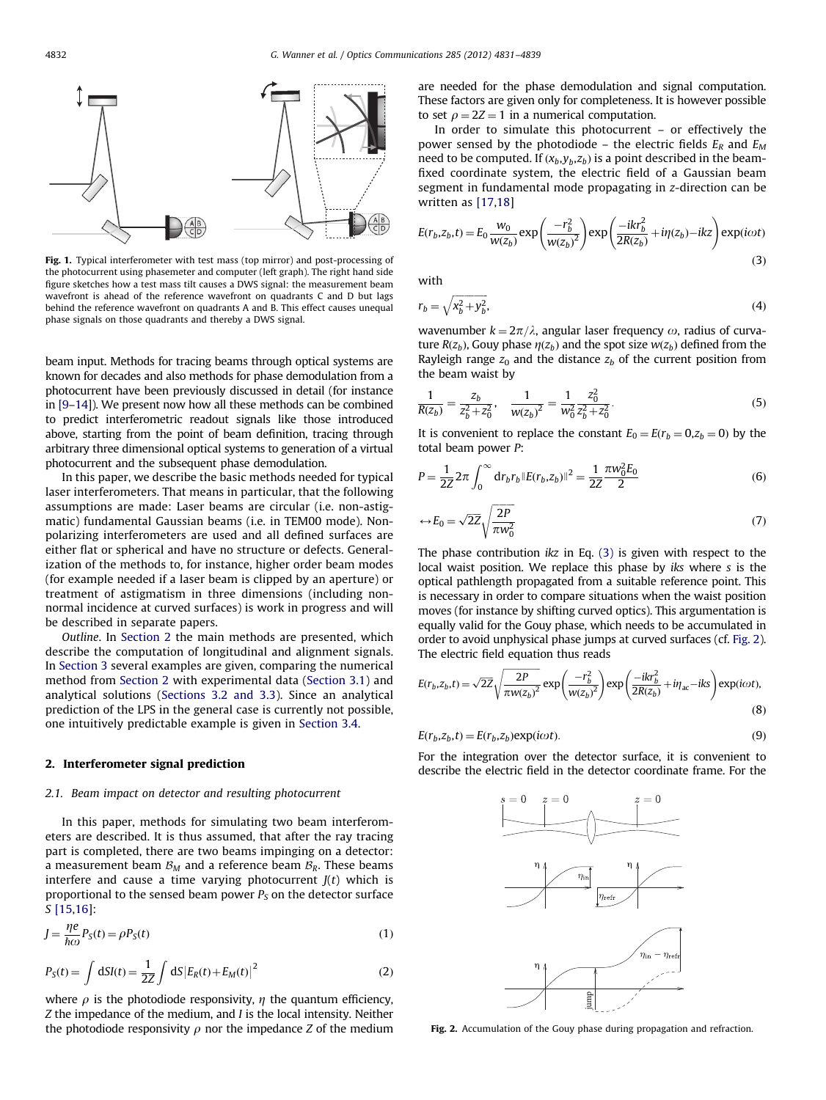<span id="page-1-0"></span>

Fig. 1. Typical interferometer with test mass (top mirror) and post-processing of the photocurrent using phasemeter and computer (left graph). The right hand side figure sketches how a test mass tilt causes a DWS signal: the measurement beam wavefront is ahead of the reference wavefront on quadrants C and D but lags behind the reference wavefront on quadrants A and B. This effect causes unequal phase signals on those quadrants and thereby a DWS signal.

beam input. Methods for tracing beams through optical systems are known for decades and also methods for phase demodulation from a photocurrent have been previously discussed in detail (for instance in [\[9–14](#page-8-0)]). We present now how all these methods can be combined to predict interferometric readout signals like those introduced above, starting from the point of beam definition, tracing through arbitrary three dimensional optical systems to generation of a virtual photocurrent and the subsequent phase demodulation.

In this paper, we describe the basic methods needed for typical laser interferometers. That means in particular, that the following assumptions are made: Laser beams are circular (i.e. non-astigmatic) fundamental Gaussian beams (i.e. in TEM00 mode). Nonpolarizing interferometers are used and all defined surfaces are either flat or spherical and have no structure or defects. Generalization of the methods to, for instance, higher order beam modes (for example needed if a laser beam is clipped by an aperture) or treatment of astigmatism in three dimensions (including nonnormal incidence at curved surfaces) is work in progress and will be described in separate papers.

Outline. In Section 2 the main methods are presented, which describe the computation of longitudinal and alignment signals. In [Section 3](#page-4-0) several examples are given, comparing the numerical method from Section 2 with experimental data [\(Section 3.1\)](#page-4-0) and analytical solutions ([Sections 3.2 and 3.3\)](#page-5-0). Since an analytical prediction of the LPS in the general case is currently not possible, one intuitively predictable example is given in [Section 3.4](#page-7-0).

# 2. Interferometer signal prediction

# 2.1. Beam impact on detector and resulting photocurrent

In this paper, methods for simulating two beam interferometers are described. It is thus assumed, that after the ray tracing part is completed, there are two beams impinging on a detector: a measurement beam  $B_M$  and a reference beam  $B_R$ . These beams interfere and cause a time varying photocurrent  $J(t)$  which is proportional to the sensed beam power  $P_S$  on the detector surface S [\[15,16\]](#page-8-0):

$$
J = \frac{\eta e}{\hbar \omega} P_S(t) = \rho P_S(t)
$$
\n(1)

$$
P_S(t) = \int dSI(t) = \frac{1}{2Z} \int dS |E_R(t) + E_M(t)|^2
$$
 (2)

where  $\rho$  is the photodiode responsivity,  $\eta$  the quantum efficiency, Z the impedance of the medium, and I is the local intensity. Neither the photodiode responsivity  $\rho$  nor the impedance Z of the medium are needed for the phase demodulation and signal computation. These factors are given only for completeness. It is however possible to set  $\rho = 2Z = 1$  in a numerical computation.

In order to simulate this photocurrent – or effectively the power sensed by the photodiode – the electric fields  $E_R$  and  $E_M$ need to be computed. If  $(x_b, y_b, z_b)$  is a point described in the beamfixed coordinate system, the electric field of a Gaussian beam segment in fundamental mode propagating in z-direction can be written as [\[17,18\]](#page-8-0)

$$
E(r_b, z_b, t) = E_0 \frac{w_0}{w(z_b)} \exp\left(\frac{-r_b^2}{w(z_b)^2}\right) \exp\left(\frac{-ikr_b^2}{2R(z_b)} + i\eta(z_b) - ikz\right) \exp(i\omega t)
$$
\n(3)

with

$$
r_b = \sqrt{x_b^2 + y_b^2},\tag{4}
$$

wavenumber  $k = 2\pi/\lambda$ , angular laser frequency  $\omega$ , radius of curvature  $R(z_b)$ , Gouy phase  $\eta(z_b)$  and the spot size  $w(z_b)$  defined from the Rayleigh range  $z_0$  and the distance  $z_b$  of the current position from the beam waist by

$$
\frac{1}{R(z_b)} = \frac{z_b}{z_b^2 + z_0^2}, \quad \frac{1}{w(z_b)^2} = \frac{1}{w_0^2} \frac{z_0^2}{z_b^2 + z_0^2}.
$$
 (5)

It is convenient to replace the constant  $E_0 = E(r_b = 0, z_b = 0)$  by the total beam power P:

$$
P = \frac{1}{2Z} 2\pi \int_0^\infty dr_b r_b ||E(r_b, z_b)||^2 = \frac{1}{2Z} \frac{\pi w_0^2 E_0}{2}
$$
(6)

$$
\leftrightarrow E_0 = \sqrt{2Z} \sqrt{\frac{2P}{\pi w_0^2}}
$$
 (7)

The phase contribution  $ikz$  in Eq. (3) is given with respect to the local waist position. We replace this phase by iks where s is the optical pathlength propagated from a suitable reference point. This is necessary in order to compare situations when the waist position moves (for instance by shifting curved optics). This argumentation is equally valid for the Gouy phase, which needs to be accumulated in order to avoid unphysical phase jumps at curved surfaces (cf. Fig. 2). The electric field equation thus reads

$$
E(r_b, z_b, t) = \sqrt{2Z} \sqrt{\frac{2P}{\pi w(z_b)^2}} \exp\left(\frac{-r_b^2}{w(z_b)^2}\right) \exp\left(\frac{-ikr_b^2}{2R(z_b)} + i\eta_{ac} - iks\right) \exp(i\omega t),\tag{8}
$$

$$
E(r_b, z_b, t) = E(r_b, z_b) \exp(i\omega t). \tag{9}
$$

For the integration over the detector surface, it is convenient to describe the electric field in the detector coordinate frame. For the



Fig. 2. Accumulation of the Gouy phase during propagation and refraction.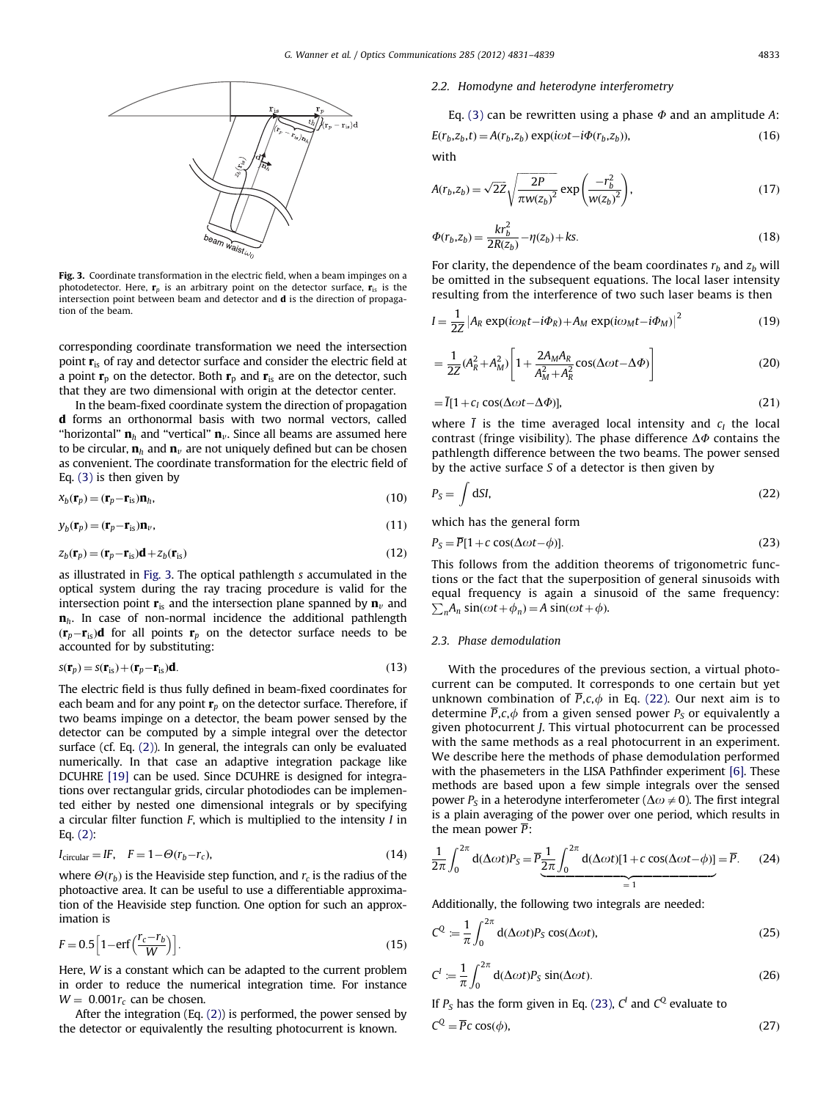

Fig. 3. Coordinate transformation in the electric field, when a beam impinges on a photodetector. Here,  $\mathbf{r}_p$  is an arbitrary point on the detector surface,  $\mathbf{r}_{is}$  is the intersection point between beam and detector and d is the direction of propagation of the beam.

corresponding coordinate transformation we need the intersection point  $\mathbf{r}_{i}$  of ray and detector surface and consider the electric field at a point  $\mathbf{r}_p$  on the detector. Both  $\mathbf{r}_p$  and  $\mathbf{r}_s$  are on the detector, such that they are two dimensional with origin at the detector center.

In the beam-fixed coordinate system the direction of propagation d forms an orthonormal basis with two normal vectors, called "horizontal"  $\mathbf{n}_h$  and "vertical"  $\mathbf{n}_v$ . Since all beams are assumed here to be circular,  $\mathbf{n}_h$  and  $\mathbf{n}_v$  are not uniquely defined but can be chosen as convenient. The coordinate transformation for the electric field of Eq. (3) is then given by

$$
x_b(\mathbf{r}_p) = (\mathbf{r}_p - \mathbf{r}_{\text{is}})\mathbf{n}_h,\tag{10}
$$

$$
y_b(\mathbf{r}_p) = (\mathbf{r}_p - \mathbf{r}_{\text{is}}) \mathbf{n}_v,\tag{11}
$$

$$
z_b(\mathbf{r}_p) = (\mathbf{r}_p - \mathbf{r}_{\text{is}}) \mathbf{d} + z_b(\mathbf{r}_{\text{is}})
$$
\n(12)

as illustrated in Fig. 3. The optical pathlength s accumulated in the optical system during the ray tracing procedure is valid for the intersection point  $\mathbf{r}_{i}$  and the intersection plane spanned by  $\mathbf{n}_{v}$  and  $n<sub>h</sub>$ . In case of non-normal incidence the additional pathlength  $(\mathbf{r}_p - \mathbf{r}_\text{is})\mathbf{d}$  for all points  $\mathbf{r}_p$  on the detector surface needs to be accounted for by substituting:

$$
s(\mathbf{r}_p) = s(\mathbf{r}_{\rm is}) + (\mathbf{r}_p - \mathbf{r}_{\rm is})\mathbf{d}.\tag{13}
$$

The electric field is thus fully defined in beam-fixed coordinates for each beam and for any point  $\mathbf{r}_p$  on the detector surface. Therefore, if two beams impinge on a detector, the beam power sensed by the detector can be computed by a simple integral over the detector surface (cf. Eq. (2)). In general, the integrals can only be evaluated numerically. In that case an adaptive integration package like DCUHRE [\[19\]](#page-8-0) can be used. Since DCUHRE is designed for integrations over rectangular grids, circular photodiodes can be implemented either by nested one dimensional integrals or by specifying a circular filter function  $F$ , which is multiplied to the intensity  $I$  in Eq. (2):

$$
I_{\text{circular}} = IF, \quad F = 1 - \Theta(r_b - r_c), \tag{14}
$$

where  $\Theta(r_b)$  is the Heaviside step function, and  $r_c$  is the radius of the photoactive area. It can be useful to use a differentiable approximation of the Heaviside step function. One option for such an approximation is

$$
F = 0.5 \left[ 1 - \text{erf}\left(\frac{r_c - r_b}{W}\right) \right].\tag{15}
$$

Here, W is a constant which can be adapted to the current problem in order to reduce the numerical integration time. For instance  $W = 0.001r_c$  can be chosen.

After the integration (Eq. (2)) is performed, the power sensed by the detector or equivalently the resulting photocurrent is known.

# 2.2. Homodyne and heterodyne interferometry

Eq. (3) can be rewritten using a phase  $\Phi$  and an amplitude A:  $E(r_b, z_b, t) = A(r_b, z_b) \exp(i\omega t - i\Phi(r_b, z_b)),$ (16)

with

$$
A(r_b, z_b) = \sqrt{2Z} \sqrt{\frac{2P}{\pi w(z_b)^2}} \exp\left(\frac{-r_b^2}{w(z_b)^2}\right),
$$
 (17)

$$
\Phi(r_b, z_b) = \frac{k r_b^2}{2R(z_b)} - \eta(z_b) + k s. \tag{18}
$$

For clarity, the dependence of the beam coordinates  $r_b$  and  $z_b$  will be omitted in the subsequent equations. The local laser intensity resulting from the interference of two such laser beams is then

$$
I = \frac{1}{2Z} \left| A_R \exp(i\omega_R t - i\Phi_R) + A_M \exp(i\omega_M t - i\Phi_M) \right|^2 \tag{19}
$$

$$
=\frac{1}{2Z}(A_R^2+A_M^2)\left[1+\frac{2A_MA_R}{A_M^2+A_R^2}\cos(\Delta\omega t-\Delta\Phi)\right]
$$
(20)

$$
= \bar{I}[1 + c_I \cos(\Delta \omega t - \Delta \Phi)], \qquad (21)
$$

where  $\overline{I}$  is the time averaged local intensity and  $c_I$  the local contrast (fringe visibility). The phase difference  $\Delta\Phi$  contains the pathlength difference between the two beams. The power sensed by the active surface S of a detector is then given by

$$
P_S = \int dS I,\tag{22}
$$

which has the general form

$$
P_S = \overline{P}[1 + c \cos(\Delta \omega t - \phi)].
$$
\n(23)

This follows from the addition theorems of trigonometric functions or the fact that the superposition of general sinusoids with equal frequency is again a sinusoid of the same frequency:  $\sum_{n} A_n \sin(\omega t + \phi_n) = A \sin(\omega t + \phi).$ 

# 2.3. Phase demodulation

With the procedures of the previous section, a virtual photocurrent can be computed. It corresponds to one certain but yet unknown combination of  $\overline{P}, c, \phi$  in Eq. (22). Our next aim is to determine  $\overline{P}, c, \phi$  from a given sensed power  $P_S$  or equivalently a given photocurrent J. This virtual photocurrent can be processed with the same methods as a real photocurrent in an experiment. We describe here the methods of phase demodulation performed with the phasemeters in the LISA Pathfinder experiment [\[6\].](#page-8-0) These methods are based upon a few simple integrals over the sensed power  $P<sub>S</sub>$  in a heterodyne interferometer ( $\Delta\omega\neq0$ ). The first integral is a plain averaging of the power over one period, which results in the mean power  $\overline{P}$ :

$$
\frac{1}{2\pi} \int_0^{2\pi} d(\Delta \omega t) P_S = \overline{P} \frac{1}{2\pi} \int_0^{2\pi} d(\Delta \omega t) [1 + c \cos(\Delta \omega t - \phi)] = \overline{P}.
$$
 (24)

Additionally, the following two integrals are needed:

$$
C^{Q} := \frac{1}{\pi} \int_{0}^{2\pi} d(\Delta \omega t) P_{S} \cos(\Delta \omega t), \qquad (25)
$$

$$
C' := \frac{1}{\pi} \int_0^{2\pi} d(\Delta \omega t) P_S \sin(\Delta \omega t).
$$
 (26)

If  $P_S$  has the form given in Eq. (23),  $C<sup>I</sup>$  and  $C<sup>Q</sup>$  evaluate to  $C^{Q} = \overline{P}c \cos(\phi),$  (27)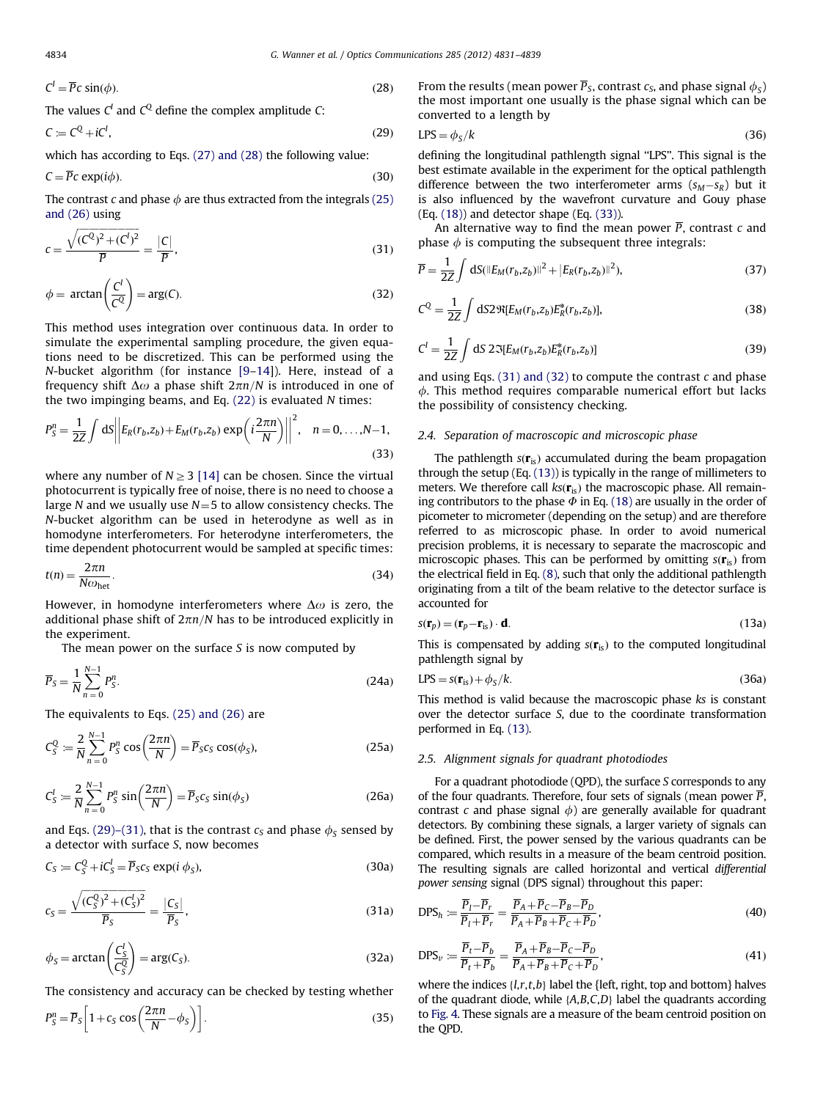$$
C^l = \overline{P}c\sin(\phi). \tag{28}
$$

The values  $C<sup>I</sup>$  and  $C<sup>Q</sup>$  define the complex amplitude C:

 $C \coloneqq C^Q + iC^I$ . ,  $(29)$ 

which has according to Eqs. (27) and (28) the following value:

 $C = \overline{P}c \exp(i\phi)$ . (30)

The contrast c and phase  $\phi$  are thus extracted from the integrals (25) and (26) using

$$
c = \frac{\sqrt{(C^Q)^2 + (C^I)^2}}{\overline{P}} = \frac{|C|}{\overline{P}},
$$
\n(31)

$$
\phi = \arctan\left(\frac{C^l}{C^Q}\right) = \arg(C). \tag{32}
$$

This method uses integration over continuous data. In order to simulate the experimental sampling procedure, the given equations need to be discretized. This can be performed using the N-bucket algorithm (for instance [\[9–14\]](#page-8-0)). Here, instead of a frequency shift  $\Delta\omega$  a phase shift  $2\pi n/N$  is introduced in one of the two impinging beams, and Eq. (22) is evaluated N times:

$$
P_S^n = \frac{1}{2Z} \int dS \left\| E_R(r_b, z_b) + E_M(r_b, z_b) \exp\left(i\frac{2\pi n}{N}\right) \right\|^2, \quad n = 0, \dots, N-1,
$$
\n(33)

where any number of  $N \geq 3$  [\[14\]](#page-8-0) can be chosen. Since the virtual photocurrent is typically free of noise, there is no need to choose a large N and we usually use  $N=5$  to allow consistency checks. The N-bucket algorithm can be used in heterodyne as well as in homodyne interferometers. For heterodyne interferometers, the time dependent photocurrent would be sampled at specific times:

$$
t(n) = \frac{2\pi n}{N\omega_{\text{het}}}.\tag{34}
$$

However, in homodyne interferometers where  $\Delta\omega$  is zero, the additional phase shift of  $2\pi n/N$  has to be introduced explicitly in the experiment.

The mean power on the surface  $S$  is now computed by

$$
\overline{P}_S = \frac{1}{N} \sum_{n=0}^{N-1} P_S^n.
$$
\n(24a)

The equivalents to Eqs. (25) and (26) are

$$
C_S^Q := \frac{2}{N} \sum_{n=0}^{N-1} P_S^n \cos\left(\frac{2\pi n}{N}\right) = \overline{P}_S c_S \cos(\phi_S),\tag{25a}
$$

$$
C_S^I := \frac{2}{N} \sum_{n=0}^{N-1} P_S^n \sin\left(\frac{2\pi n}{N}\right) = \overline{P}_S c_S \sin(\phi_S)
$$
 (26a)

and Eqs. (29)–(31), that is the contrast  $c_s$  and phase  $\phi_s$  sensed by a detector with surface S, now becomes

$$
C_S \coloneqq C_S^Q + iC_S^I = \overline{P}_S c_S \exp(i \phi_S),\tag{30a}
$$

$$
c_{S} = \frac{\sqrt{(C_{S}^{Q})^{2} + (C_{S}^{I})^{2}}}{\overline{P}_{S}} = \frac{|C_{S}|}{\overline{P}_{S}},
$$
\n(31a)

$$
\phi_S = \arctan\left(\frac{C_S^I}{C_S^Q}\right) = \arg(C_S). \tag{32a}
$$

The consistency and accuracy can be checked by testing whether

$$
P_S^n = \overline{P}_S \left[ 1 + c_S \cos \left( \frac{2\pi n}{N} - \phi_S \right) \right].
$$
 (35)

From the results (mean power  $\overline{P}_S$ , contrast  $c_S$ , and phase signal  $\phi_S$ ) the most important one usually is the phase signal which can be converted to a length by

$$
LPS = \phi_S/k \tag{36}
$$

defining the longitudinal pathlength signal ''LPS''. This signal is the best estimate available in the experiment for the optical pathlength difference between the two interferometer arms  $(s_M - s_R)$  but it is also influenced by the wavefront curvature and Gouy phase (Eq. (18)) and detector shape (Eq. (33)).

An alternative way to find the mean power  $\overline{P}$ , contrast c and phase  $\phi$  is computing the subsequent three integrals:

$$
\overline{P} = \frac{1}{2Z} \int dS (\|E_M(r_b, z_b)\|^2 + |E_R(r_b, z_b)\|^2), \tag{37}
$$

$$
C^{Q} = \frac{1}{2Z} \int dS 2 \Re[E_{M}(r_{b}, z_{b}) E_{R}^{*}(r_{b}, z_{b})],
$$
\n(38)

$$
C^{I} = \frac{1}{2Z} \int dS \, 2 \Im[E_{M}(r_{b}, z_{b}) E_{R}^{*}(r_{b}, z_{b})]
$$
\n(39)

and using Eqs.  $(31)$  and  $(32)$  to compute the contrast c and phase  $\phi$ . This method requires comparable numerical effort but lacks the possibility of consistency checking.

# 2.4. Separation of macroscopic and microscopic phase

The pathlength  $s(\mathbf{r}_{is})$  accumulated during the beam propagation through the setup (Eq. (13)) is typically in the range of millimeters to meters. We therefore call  $ks(r_{is})$  the macroscopic phase. All remaining contributors to the phase  $\Phi$  in Eq. (18) are usually in the order of picometer to micrometer (depending on the setup) and are therefore referred to as microscopic phase. In order to avoid numerical precision problems, it is necessary to separate the macroscopic and microscopic phases. This can be performed by omitting  $s(\mathbf{r}_{is})$  from the electrical field in Eq. (8), such that only the additional pathlength originating from a tilt of the beam relative to the detector surface is accounted for

$$
s(\mathbf{r}_p) = (\mathbf{r}_p - \mathbf{r}_{\text{is}}) \cdot \mathbf{d}.\tag{13a}
$$

This is compensated by adding  $s(r_{is})$  to the computed longitudinal pathlength signal by

$$
LPS = s(\mathbf{r}_{\rm is}) + \phi_{\rm S}/k. \tag{36a}
$$

This method is valid because the macroscopic phase ks is constant over the detector surface S, due to the coordinate transformation performed in Eq. (13).

# 2.5. Alignment signals for quadrant photodiodes

For a quadrant photodiode (QPD), the surface S corresponds to any of the four quadrants. Therefore, four sets of signals (mean power  $\overline{P}$ , contrast c and phase signal  $\phi$ ) are generally available for quadrant detectors. By combining these signals, a larger variety of signals can be defined. First, the power sensed by the various quadrants can be compared, which results in a measure of the beam centroid position. The resulting signals are called horizontal and vertical differential power sensing signal (DPS signal) throughout this paper:

$$
DPS_h := \frac{\overline{P}_l - \overline{P}_r}{\overline{P}_l + \overline{P}_r} = \frac{\overline{P}_A + \overline{P}_C - \overline{P}_B - \overline{P}_D}{\overline{P}_A + \overline{P}_B + \overline{P}_C + \overline{P}_D},\tag{40}
$$

$$
DPS_{\nu} := \frac{\overline{P}_t - \overline{P}_b}{\overline{P}_t + \overline{P}_b} = \frac{\overline{P}_A + \overline{P}_B - \overline{P}_C - \overline{P}_D}{\overline{P}_A + \overline{P}_B + \overline{P}_C + \overline{P}_D},
$$
\n(41)

where the indices  $\{l,r,t,b\}$  label the  $\{left$ left, right, top and bottom $\}$  halves of the quadrant diode, while  $\{A, B, C, D\}$  label the quadrants according to [Fig. 4.](#page-4-0) These signals are a measure of the beam centroid position on the QPD.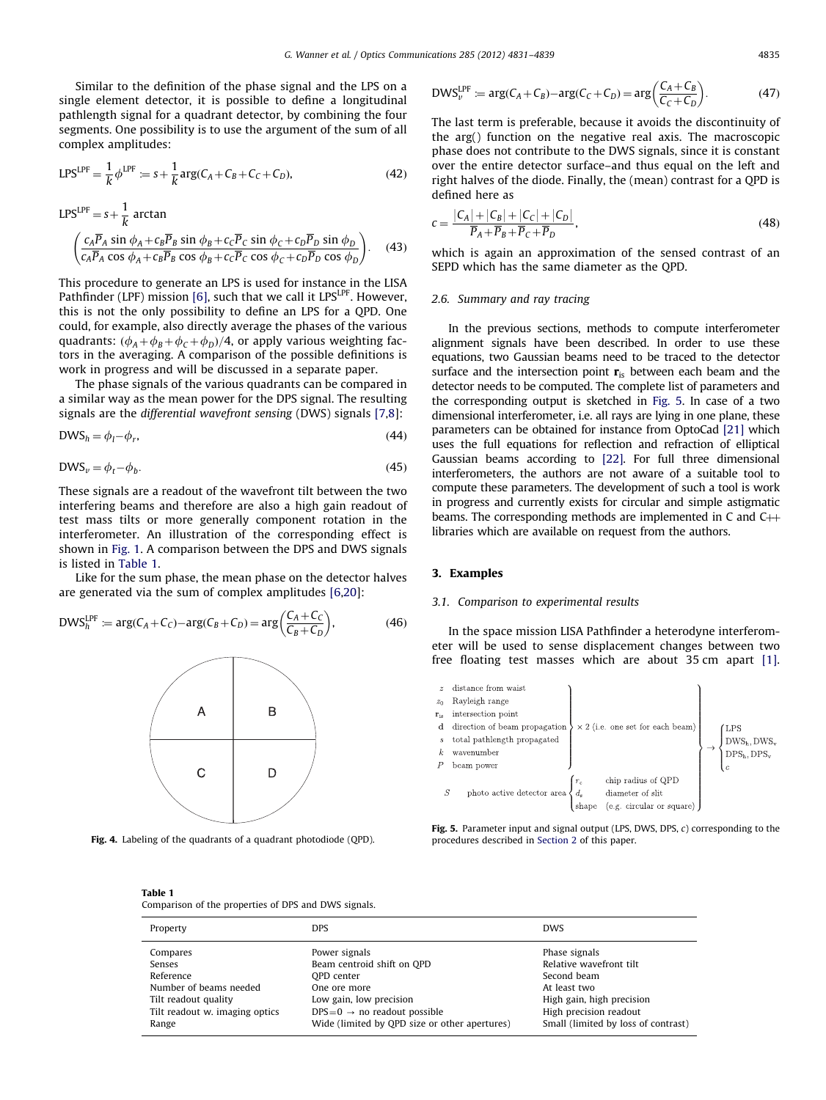<span id="page-4-0"></span>Similar to the definition of the phase signal and the LPS on a single element detector, it is possible to define a longitudinal pathlength signal for a quadrant detector, by combining the four segments. One possibility is to use the argument of the sum of all complex amplitudes:

$$
LPS^{LPF} = \frac{1}{k} \phi^{LPF} := s + \frac{1}{k} \arg(C_A + C_B + C_C + C_D),
$$
 (42)

1

$$
LPS^{LPF} = s + \frac{1}{k} \arctan
$$
  

$$
\left(\frac{c_A \overline{P}_A \sin \phi_A + c_B \overline{P}_B \sin \phi_B + c_C \overline{P}_C \sin \phi_C + c_D \overline{P}_D \sin \phi_D}{c_A \overline{P}_A \cos \phi_A + c_B \overline{P}_B \cos \phi_B + c_C \overline{P}_C \cos \phi_C + c_D \overline{P}_D \cos \phi_D}\right).
$$
 (43)

This procedure to generate an LPS is used for instance in the LISA Pathfinder (LPF) mission [\[6\],](#page-8-0) such that we call it LPS<sup>LPF</sup>. However, this is not the only possibility to define an LPS for a QPD. One could, for example, also directly average the phases of the various quadrants:  $(\phi_A + \phi_B + \phi_C + \phi_D)/4$ , or apply various weighting factors in the averaging. A comparison of the possible definitions is work in progress and will be discussed in a separate paper.

The phase signals of the various quadrants can be compared in a similar way as the mean power for the DPS signal. The resulting signals are the differential wavefront sensing (DWS) signals [\[7,8\]](#page-8-0):

$$
DWS_h = \phi_l - \phi_r,\tag{44}
$$

$$
DWS_v = \phi_t - \phi_b. \tag{45}
$$

These signals are a readout of the wavefront tilt between the two interfering beams and therefore are also a high gain readout of test mass tilts or more generally component rotation in the interferometer. An illustration of the corresponding effect is shown in [Fig. 1](#page-1-0). A comparison between the DPS and DWS signals is listed in Table 1.

Like for the sum phase, the mean phase on the detector halves are generated via the sum of complex amplitudes [\[6,20](#page-8-0)]:

$$
DWS_h^{\text{LPF}} \coloneqq \arg(C_A + C_C) - \arg(C_B + C_D) = \arg\left(\frac{C_A + C_C}{C_B + C_D}\right),\tag{46}
$$



Fig. 4. Labeling of the quadrants of a quadrant photodiode (QPD).

#### $\text{DWS}_{v}^{\text{LPF}} \coloneqq \arg(C_A + C_B) - \arg(C_C + C_D) = \arg\left(\frac{C_A + C_B}{C_B + C_B}\right)$  $C_C + C_D$  $(C+C_2)$  $(47)$

The last term is preferable, because it avoids the discontinuity of the arg() function on the negative real axis. The macroscopic phase does not contribute to the DWS signals, since it is constant over the entire detector surface–and thus equal on the left and right halves of the diode. Finally, the (mean) contrast for a QPD is defined here as

$$
c = \frac{|C_A| + |C_B| + |C_C| + |C_D|}{\overline{P}_A + \overline{P}_B + \overline{P}_C + \overline{P}_D},
$$
\n(48)

which is again an approximation of the sensed contrast of an SEPD which has the same diameter as the QPD.

#### 2.6. Summary and ray tracing

In the previous sections, methods to compute interferometer alignment signals have been described. In order to use these equations, two Gaussian beams need to be traced to the detector surface and the intersection point  $\mathbf{r}_{is}$  between each beam and the detector needs to be computed. The complete list of parameters and the corresponding output is sketched in Fig. 5. In case of a two dimensional interferometer, i.e. all rays are lying in one plane, these parameters can be obtained for instance from OptoCad [\[21\]](#page-8-0) which uses the full equations for reflection and refraction of elliptical Gaussian beams according to [\[22\]](#page-8-0). For full three dimensional interferometers, the authors are not aware of a suitable tool to compute these parameters. The development of such a tool is work in progress and currently exists for circular and simple astigmatic beams. The corresponding methods are implemented in  $C$  and  $C$  $\rightarrow$ libraries which are available on request from the authors.

### 3. Examples

# 3.1. Comparison to experimental results

In the space mission LISA Pathfinder a heterodyne interferometer will be used to sense displacement changes between two free floating test masses which are about 35 cm apart [\[1\].](#page-8-0)



Fig. 5. Parameter input and signal output (LPS, DWS, DPS,  $c$ ) corresponding to the procedures described in [Section 2](#page-1-0) of this paper.

### Table 1

Comparison of the properties of DPS and DWS signals.

| Property                       | <b>DPS</b>                                    | <b>DWS</b>                          |
|--------------------------------|-----------------------------------------------|-------------------------------------|
| Compares                       | Power signals                                 | Phase signals                       |
| Senses                         | Beam centroid shift on OPD                    | Relative wavefront tilt             |
| Reference                      | OPD center                                    | Second beam                         |
| Number of beams needed         | One ore more                                  | At least two                        |
| Tilt readout quality           | Low gain, low precision                       | High gain, high precision           |
| Tilt readout w. imaging optics | $DPS=0 \rightarrow$ no readout possible       | High precision readout              |
| Range                          | Wide (limited by QPD size or other apertures) | Small (limited by loss of contrast) |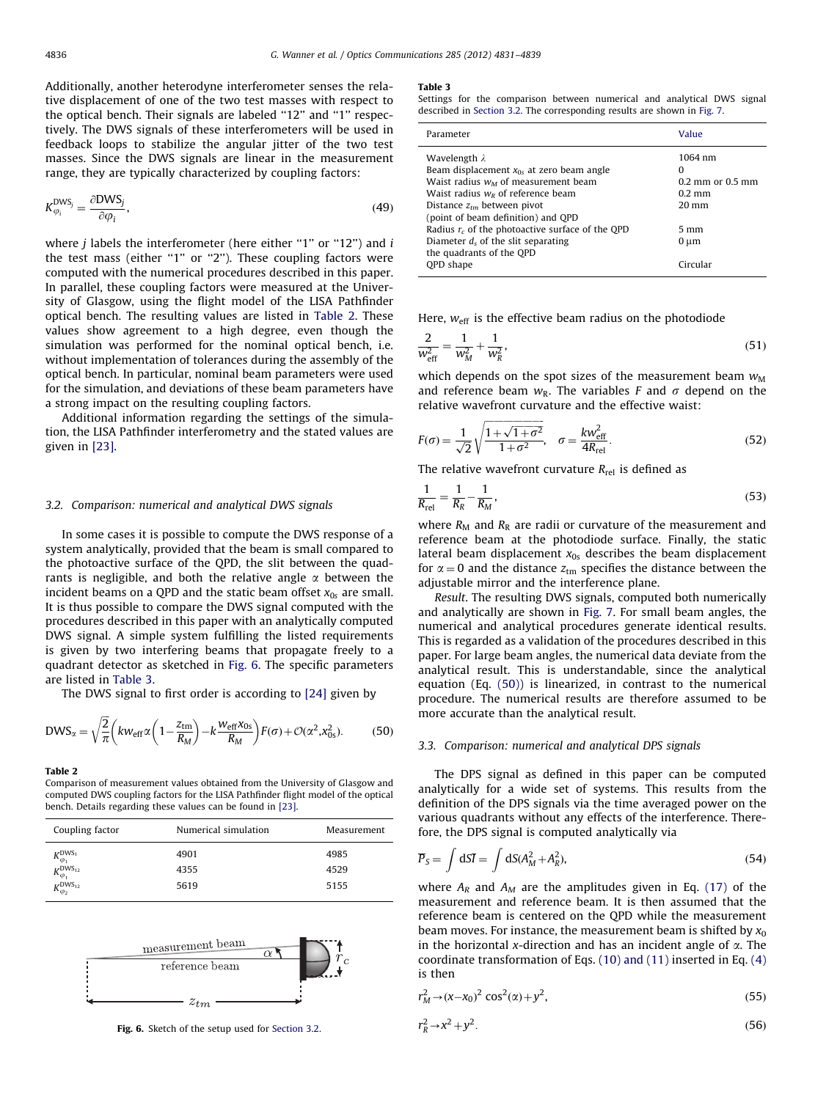<span id="page-5-0"></span>Additionally, another heterodyne interferometer senses the relative displacement of one of the two test masses with respect to the optical bench. Their signals are labeled "12" and "1" respectively. The DWS signals of these interferometers will be used in feedback loops to stabilize the angular jitter of the two test masses. Since the DWS signals are linear in the measurement range, they are typically characterized by coupling factors:

$$
K_{\varphi_i}^{\text{DWS}_j} = \frac{\partial \text{DWS}_j}{\partial \varphi_i},\tag{49}
$$

where  $j$  labels the interferometer (here either "1" or "12") and  $i$ the test mass (either "1" or "2"). These coupling factors were computed with the numerical procedures described in this paper. In parallel, these coupling factors were measured at the University of Glasgow, using the flight model of the LISA Pathfinder optical bench. The resulting values are listed in Table 2. These values show agreement to a high degree, even though the simulation was performed for the nominal optical bench, i.e. without implementation of tolerances during the assembly of the optical bench. In particular, nominal beam parameters were used for the simulation, and deviations of these beam parameters have a strong impact on the resulting coupling factors.

Additional information regarding the settings of the simulation, the LISA Pathfinder interferometry and the stated values are given in [\[23\]](#page-8-0).

## 3.2. Comparison: numerical and analytical DWS signals

In some cases it is possible to compute the DWS response of a system analytically, provided that the beam is small compared to the photoactive surface of the QPD, the slit between the quadrants is negligible, and both the relative angle  $\alpha$  between the incident beams on a QPD and the static beam offset  $x_{0s}$  are small. It is thus possible to compare the DWS signal computed with the procedures described in this paper with an analytically computed DWS signal. A simple system fulfilling the listed requirements is given by two interfering beams that propagate freely to a quadrant detector as sketched in Fig. 6. The specific parameters are listed in Table 3.

The DWS signal to first order is according to [\[24\]](#page-8-0) given by

$$
DWS_{\alpha} = \sqrt{\frac{2}{\pi}} \left( kw_{\text{eff}} \alpha \left( 1 - \frac{z_{\text{tm}}}{R_M} \right) - k \frac{w_{\text{eff}} x_{0s}}{R_M} \right) F(\sigma) + \mathcal{O}(\alpha^2, x_{0s}^2). \tag{50}
$$

#### Table 2

Comparison of measurement values obtained from the University of Glasgow and computed DWS coupling factors for the LISA Pathfinder flight model of the optical bench. Details regarding these values can be found in [\[23\].](#page-8-0)

| Coupling factor                   | Numerical simulation | Measurement |
|-----------------------------------|----------------------|-------------|
| $K_{\varphi_1}^{\text{DWS}_1}$    | 4901                 | 4985        |
| $K_{\varphi_1}^{\text{DWS}_{12}}$ | 4355                 | 4529        |
| $K_{\varphi_2}^{\text{DWS}_{12}}$ | 5619                 | 5155        |



Fig. 6. Sketch of the setup used for Section 3.2.

#### Table 3

Settings for the comparison between numerical and analytical DWS signal described in Section 3.2. The corresponding results are shown in [Fig. 7](#page-6-0).

| Parameter                                                                                                                                                                                                                                                                                                                                                   | Value                                                                                                      |
|-------------------------------------------------------------------------------------------------------------------------------------------------------------------------------------------------------------------------------------------------------------------------------------------------------------------------------------------------------------|------------------------------------------------------------------------------------------------------------|
| Wavelength $\lambda$<br>Beam displacement $x_{0s}$ at zero beam angle<br>Waist radius $w_M$ of measurement beam<br>Waist radius $w_R$ of reference beam<br>Distance $z_{tm}$ between pivot<br>(point of beam definition) and QPD<br>Radius $r_c$ of the photoactive surface of the QPD<br>Diameter $d_s$ of the slit separating<br>the quadrants of the QPD | 1064 nm<br>0<br>$0.2$ mm or $0.5$ mm<br>$0.2 \text{ mm}$<br>$20 \text{ mm}$<br>$5 \text{ mm}$<br>$0 \mu m$ |
| <b>OPD</b> shape                                                                                                                                                                                                                                                                                                                                            | Circular                                                                                                   |

Here,  $w_{\text{eff}}$  is the effective beam radius on the photodiode

$$
\frac{2}{w_{\text{eff}}^2} = \frac{1}{w_M^2} + \frac{1}{w_R^2},\tag{51}
$$

which depends on the spot sizes of the measurement beam  $w_M$ and reference beam  $w_R$ . The variables F and  $\sigma$  depend on the relative wavefront curvature and the effective waist:

$$
F(\sigma) = \frac{1}{\sqrt{2}} \sqrt{\frac{1 + \sqrt{1 + \sigma^2}}{1 + \sigma^2}}, \quad \sigma = \frac{k w_{\text{eff}}^2}{4R_{\text{rel}}}.
$$
 (52)

The relative wavefront curvature  $R_{rel}$  is defined as

$$
\frac{1}{R_{\rm rel}} = \frac{1}{R_R} - \frac{1}{R_M},\tag{53}
$$

where  $R_M$  and  $R_R$  are radii or curvature of the measurement and reference beam at the photodiode surface. Finally, the static lateral beam displacement  $x_{0s}$  describes the beam displacement for  $\alpha = 0$  and the distance  $z<sub>tm</sub>$  specifies the distance between the adjustable mirror and the interference plane.

Result. The resulting DWS signals, computed both numerically and analytically are shown in [Fig. 7](#page-6-0). For small beam angles, the numerical and analytical procedures generate identical results. This is regarded as a validation of the procedures described in this paper. For large beam angles, the numerical data deviate from the analytical result. This is understandable, since the analytical equation (Eq. (50)) is linearized, in contrast to the numerical procedure. The numerical results are therefore assumed to be more accurate than the analytical result.

# 3.3. Comparison: numerical and analytical DPS signals

The DPS signal as defined in this paper can be computed analytically for a wide set of systems. This results from the definition of the DPS signals via the time averaged power on the various quadrants without any effects of the interference. Therefore, the DPS signal is computed analytically via

$$
\overline{P}_S = \int dS \overline{I} = \int dS (A_M^2 + A_R^2), \qquad (54)
$$

where  $A_R$  and  $A_M$  are the amplitudes given in Eq. (17) of the measurement and reference beam. It is then assumed that the reference beam is centered on the QPD while the measurement beam moves. For instance, the measurement beam is shifted by  $x_0$ in the horizontal x-direction and has an incident angle of  $\alpha$ . The coordinate transformation of Eqs. (10) and (11) inserted in Eq. (4) is then

$$
r_M^2 \to (x - x_0)^2 \cos^2(\alpha) + y^2,\tag{55}
$$

$$
r_R^2 \to x^2 + y^2. \tag{56}
$$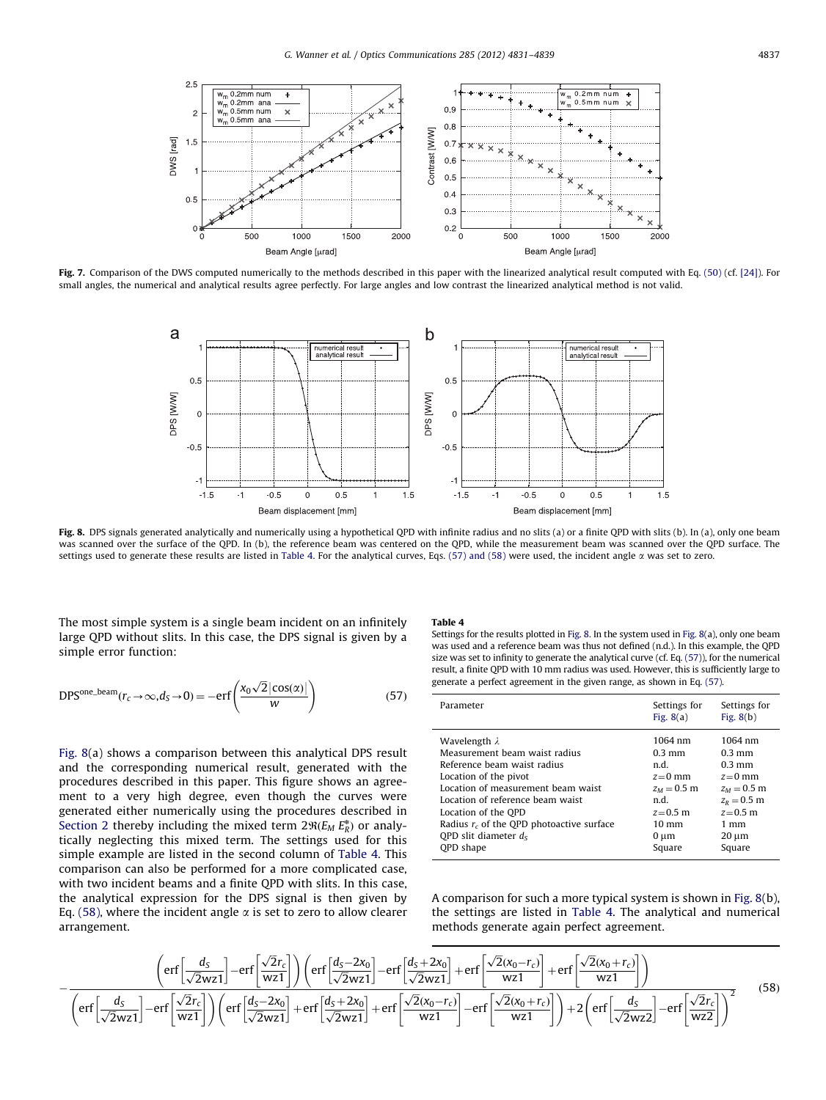<span id="page-6-0"></span>

Fig. 7. Comparison of the DWS computed numerically to the methods described in this paper with the linearized analytical result computed with Eq. (50) (cf. [\[24\]\)](#page-8-0). For small angles, the numerical and analytical results agree perfectly. For large angles and low contrast the linearized analytical method is not valid.



Fig. 8. DPS signals generated analytically and numerically using a hypothetical QPD with infinite radius and no slits (a) or a finite QPD with slits (b). In (a), only one beam was scanned over the surface of the QPD. In (b), the reference beam was centered on the QPD, while the measurement beam was scanned over the QPD surface. The settings used to generate these results are listed in Table 4. For the analytical curves, Eqs. (57) and (58) were used, the incident angle  $\alpha$  was set to zero.

The most simple system is a single beam incident on an infinitely large QPD without slits. In this case, the DPS signal is given by a simple error function:

$$
DPSone-beam(r_c \to \infty, d_S \to 0) = -erf\left(\frac{x_0\sqrt{2}|\cos(\alpha)|}{w}\right)
$$
 (57)

Fig. 8(a) shows a comparison between this analytical DPS result and the corresponding numerical result, generated with the procedures described in this paper. This figure shows an agreement to a very high degree, even though the curves were generated either numerically using the procedures described in [Section 2](#page-1-0) thereby including the mixed term  $2\Re(E_M E_R^*)$  or analytically neglecting this mixed term. The settings used for this simple example are listed in the second column of Table 4. This comparison can also be performed for a more complicated case, with two incident beams and a finite QPD with slits. In this case, the analytical expression for the DPS signal is then given by Eq. (58), where the incident angle  $\alpha$  is set to zero to allow clearer arrangement.

# Table 4

Settings for the results plotted in Fig. 8. In the system used in Fig. 8(a), only one beam was used and a reference beam was thus not defined (n.d.). In this example, the QPD size was set to infinity to generate the analytical curve (cf. Eq. (57)), for the numerical result, a finite QPD with 10 mm radius was used. However, this is sufficiently large to generate a perfect agreement in the given range, as shown in Eq. (57).

| Parameter                                   | Settings for<br>Fig. $8(a)$ | Settings for<br>Fig. $8(b)$ |
|---------------------------------------------|-----------------------------|-----------------------------|
| Wavelength $\lambda$                        | 1064 nm                     | 1064 nm                     |
| Measurement beam waist radius               | $0.3 \text{ mm}$            | $0.3$ mm                    |
| Reference beam waist radius                 | n.d.                        | $0.3$ mm                    |
| Location of the pivot                       | $z=0$ mm                    | $z=0$ mm                    |
| Location of measurement beam waist          | $z_M = 0.5$ m               | $z_M = 0.5$ m               |
| Location of reference beam waist            | n.d.                        | $z_R = 0.5$ m               |
| Location of the QPD                         | $z = 0.5$ m                 | $z = 0.5$ m                 |
| Radius $r_c$ of the QPD photoactive surface | $10 \text{ mm}$             | $1 \text{ mm}$              |
| OPD slit diameter $d_s$                     | $0 \mu m$                   | $20 \mu m$                  |
| <b>OPD</b> shape                            | Square                      | Square                      |

A comparison for such a more typical system is shown in Fig. 8(b), the settings are listed in Table 4. The analytical and numerical methods generate again perfect agreement.

$$
-\frac{\left(\text{erf}\left[\frac{d_S}{\sqrt{2}wz1}\right]-\text{erf}\left[\frac{\sqrt{2}r_c}{wz1}\right]\right)\left(\text{erf}\left[\frac{d_S-2x_0}{\sqrt{2}wz1}\right]-\text{erf}\left[\frac{d_S+2x_0}{\sqrt{2}wz1}\right]+\text{erf}\left[\frac{\sqrt{2}(x_0-r_c)}{wz1}\right]+\text{erf}\left[\frac{\sqrt{2}(x_0+r_c)}{wz1}\right]\right)}{\left(\text{erf}\left[\frac{d_S}{\sqrt{2}wz1}\right]-\text{erf}\left[\frac{\sqrt{2}r_c}{wz1}\right]\right)\left(\text{erf}\left[\frac{d_S-2x_0}{\sqrt{2}wz1}\right]+\text{erf}\left[\frac{d_S+2x_0}{\sqrt{2}wz1}\right]+\text{erf}\left[\frac{\sqrt{2}(x_0-r_c)}{wz1}\right]-\text{erf}\left[\frac{\sqrt{2}(x_0+r_c)}{wz1}\right]\right)+2\left(\text{erf}\left[\frac{d_S}{\sqrt{2}wz2}\right]-\text{erf}\left[\frac{\sqrt{2}r_c}{wz2}\right]\right)\right)}\tag{58}
$$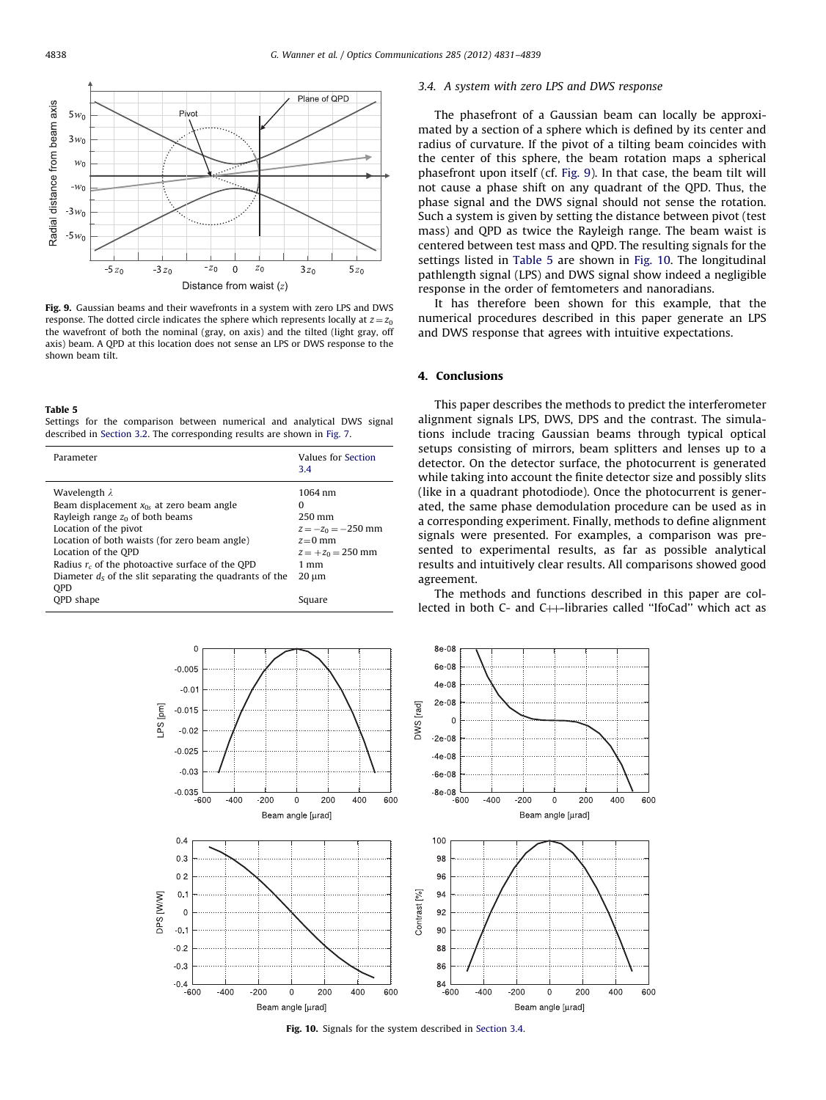<span id="page-7-0"></span>

Fig. 9. Gaussian beams and their wavefronts in a system with zero LPS and DWS response. The dotted circle indicates the sphere which represents locally at  $z = z_0$ the wavefront of both the nominal (gray, on axis) and the tilted (light gray, off axis) beam. A QPD at this location does not sense an LPS or DWS response to the shown beam tilt.

#### Table 5

Settings for the comparison between numerical and analytical DWS signal described in [Section 3.2.](#page-5-0) The corresponding results are shown in [Fig. 7](#page-6-0).

| Parameter                                                 | Values for Section<br>3.4 |
|-----------------------------------------------------------|---------------------------|
| Wavelength $\lambda$                                      | 1064 nm                   |
| Beam displacement $x_{0s}$ at zero beam angle             | 0                         |
| Rayleigh range $z_0$ of both beams                        | $250 \,\mathrm{mm}$       |
| Location of the pivot                                     | $z = -z_0 = -250$ mm      |
| Location of both waists (for zero beam angle)             | $z=0$ mm                  |
| Location of the OPD                                       | $z = +z_0 = 250$ mm       |
| Radius $r_c$ of the photoactive surface of the QPD        | $1 \text{ mm}$            |
| Diameter $ds$ of the slit separating the quadrants of the | $20 \mu m$                |
| <b>OPD</b>                                                |                           |
| <b>OPD</b> shape                                          | Square                    |



# 3.4. A system with zero LPS and DWS response

The phasefront of a Gaussian beam can locally be approximated by a section of a sphere which is defined by its center and radius of curvature. If the pivot of a tilting beam coincides with the center of this sphere, the beam rotation maps a spherical phasefront upon itself (cf. Fig. 9). In that case, the beam tilt will not cause a phase shift on any quadrant of the QPD. Thus, the phase signal and the DWS signal should not sense the rotation. Such a system is given by setting the distance between pivot (test mass) and QPD as twice the Rayleigh range. The beam waist is centered between test mass and QPD. The resulting signals for the settings listed in Table 5 are shown in Fig. 10. The longitudinal pathlength signal (LPS) and DWS signal show indeed a negligible response in the order of femtometers and nanoradians.

It has therefore been shown for this example, that the numerical procedures described in this paper generate an LPS and DWS response that agrees with intuitive expectations.

# 4. Conclusions

This paper describes the methods to predict the interferometer alignment signals LPS, DWS, DPS and the contrast. The simulations include tracing Gaussian beams through typical optical setups consisting of mirrors, beam splitters and lenses up to a detector. On the detector surface, the photocurrent is generated while taking into account the finite detector size and possibly slits (like in a quadrant photodiode). Once the photocurrent is generated, the same phase demodulation procedure can be used as in a corresponding experiment. Finally, methods to define alignment signals were presented. For examples, a comparison was presented to experimental results, as far as possible analytical results and intuitively clear results. All comparisons showed good agreement.

The methods and functions described in this paper are collected in both  $C$ - and  $C$ ++-libraries called "IfoCad" which act as



Fig. 10. Signals for the system described in Section 3.4.